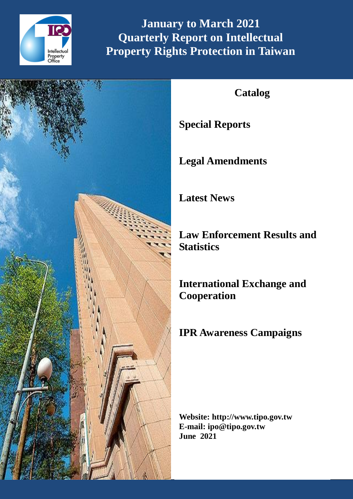

**January to March 2021 Quarterly Report on Intellectual Property Rights Protection in Taiwan**



# **Catalog**

**Special Reports**

**Legal Amendments**

**Latest News**

**Law Enforcement Results and Statistics**

**International Exchange and Cooperation**

# **IPR Awareness Campaigns**

**Website: http://www.tipo.gov.tw E-mail: ipo@tipo.gov.tw June 2021**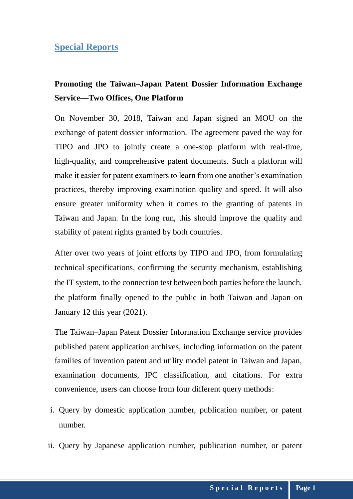## **Special Reports**

## **Promoting the Taiwan–Japan Patent Dossier Information Exchange Service—Two Offices, One Platform**

On November 30, 2018, Taiwan and Japan signed an MOU on the exchange of patent dossier information. The agreement paved the way for TIPO and JPO to jointly create a one-stop platform with real-time, high-quality, and comprehensive patent documents. Such a platform will make it easier for patent examiners to learn from one another's examination practices, thereby improving examination quality and speed. It will also ensure greater uniformity when it comes to the granting of patents in Taiwan and Japan. In the long run, this should improve the quality and stability of patent rights granted by both countries.

After over two years of joint efforts by TIPO and JPO, from formulating technical specifications, confirming the security mechanism, establishing the IT system, to the connection test between both parties before the launch, the platform finally opened to the public in both Taiwan and Japan on January 12 this year (2021).

The Taiwan–Japan Patent Dossier Information Exchange service provides published patent application archives, including information on the patent families of invention patent and utility model patent in Taiwan and Japan, examination documents, IPC classification, and citations. For extra convenience, users can choose from four different query methods:

- i. Query by domestic application number, publication number, or patent number.
- ii. Query by Japanese application number, publication number, or patent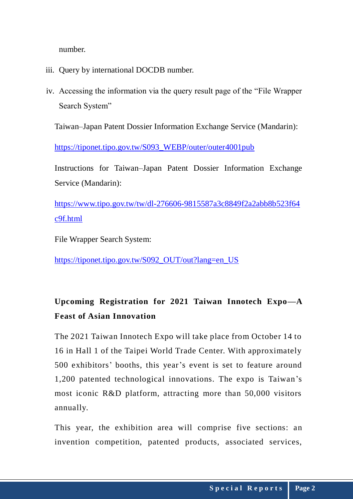number.

- iii. Query by international DOCDB number.
- iv. Accessing the information via the query result page of the "File Wrapper Search System"

Taiwan–Japan Patent Dossier Information Exchange Service (Mandarin):

[https://tiponet.tipo.gov.tw/S093\\_WEBP/outer/outer4001pub](about:blank)

Instructions for Taiwan–Japan Patent Dossier Information Exchange Service (Mandarin):

https://www.tipo.gov.tw/tw/dl-276606-9815587a3c8849f2a2abb8b523f64 c9f.html

File Wrapper Search System:

[https://tiponet.tipo.gov.tw/S092\\_OUT/out?lang=en\\_US](https://tiponet.tipo.gov.tw/S092_OUT/out?lang=en_US)

# **Upcoming Registration for 2021 Taiwan Innotech Expo—A Feast of Asian Innovation**

The 2021 Taiwan Innotech Expo will take place from October 14 to 16 in Hall 1 of the Taipei World Trade Center. With approximately 500 exhibitors' booths, this year's event is set to feature around 1,200 patented technological innovations. The expo is Taiwan's most iconic R&D platform, attracting more than 50,000 visitors annually.

This year, the exhibition area will comprise five sections: an invention competition, patented products, associated services,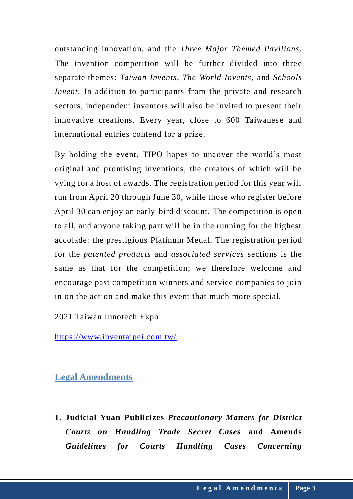outstanding innovation, and the *Three Major Themed Pavilions*. The invention competition will be further divided into three separate themes: *Taiwan Invents*, *The World Invents*, and *Schools Invent*. In addition to participants from the private and research sectors, independent inventors will also be invited to present their innovative creations. Every year, close to 600 Taiwanese and international entries contend for a prize.

By holding the event, TIPO hopes to uncover the world's most original and promising inventions, the creators of which will be vying for a host of awards. The registration period for this year will run from April 20 through June 30, while those who register before April 30 can enjoy an early-bird discount. The competition is open to all, and anyone taking part will be in the running for the highest accolade: the prestigious Platinum Medal. The registration period for the *patented products* and *associated services* sections is the same as that for the competition; we therefore welcome and encourage past competition winners and service companies to join in on the action and make this event that much more special.

2021 Taiwan Innotech Expo

<https://www.inventaipei.com.tw/>

## **Legal Amendments**

**1. Judicial Yuan Publicizes** *Precautionary Matters for District Courts on Handling Trade Secret Cases* **and Amends**  *Guidelines for Courts Handling Cases Concerning*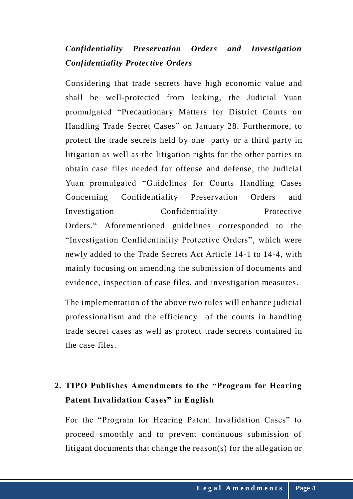## *Confidentiality Preservation Orders and Investigation Confidentiality Protective Orders*

Considering that trade secrets have high economic value and shall be well-protected from leaking, the Judicial Yuan promulgated "Precautionary Matters for District Courts on Handling Trade Secret Cases" on January 28. Furthermore, to protect the trade secrets held by one party or a third party in litigation as well as the litigation rights for the other parties to obtain case files needed for offense and defense, the Judicial Yuan promulgated "Guidelines for Courts Handling Cases Concerning Confidentiality Preservation Orders and Investigation Confidentiality Protective Orders." Aforementioned guidelines corresponded to the "Investigation Confidentiality Protective Orders", which were newly added to the Trade Secrets Act Article 14-1 to 14-4, with mainly focusing on amending the submission of documents and evidence, inspection of case files, and investigation measures.

The implementation of the above two rules will enhance judicial professionalism and the efficiency of the courts in handling trade secret cases as well as protect trade secrets contained in the case files.

## **2. TIPO Publishes Amendments to the "Program for Hearing Patent Invalidation Cases" in English**

For the "Program for Hearing Patent Invalidation Cases" to proceed smoothly and to prevent continuous submission of litigant documents that change the reason(s) for the allegation or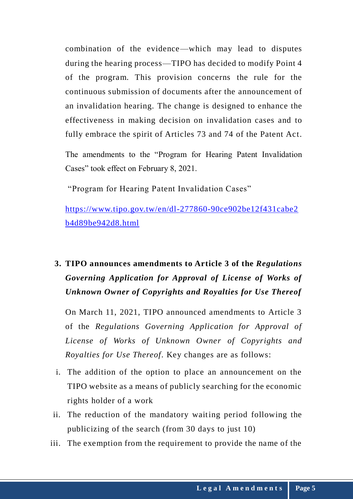combination of the evidence—which may lead to disputes during the hearing process—TIPO has decided to modify Point 4 of the program. This provision concerns the rule for the continuous submission of documents after the announcement of an invalidation hearing. The change is designed to enhance the effectiveness in making decision on invalidation cases and to fully embrace the spirit of Articles 73 and 74 of the Patent Act.

The amendments to the "Program for Hearing Patent Invalidation Cases" took effect on February 8, 2021.

"Program for Hearing Patent Invalidation Cases"

[https://www.tipo.gov.tw/en/dl-277860-90ce902be12f431cabe2](https://www.tipo.gov.tw/en/dl-277860-90ce902be12f431cabe2b4d89be942d8.html) [b4d89be942d8.html](https://www.tipo.gov.tw/en/dl-277860-90ce902be12f431cabe2b4d89be942d8.html)

# **3. TIPO announces amendments to Article 3 of the** *Regulations Governing Application for Approval of License of Works of Unknown Owner of Copyrights and Royalties for Use Thereof*

On March 11, 2021, TIPO announced amendments to Article 3 of the *Regulations Governing Application for Approval of License of Works of Unknown Owner of Copyrights and Royalties for Use Thereof*. Key changes are as follows:

- i. The addition of the option to place an announcement on the TIPO website as a means of publicly searching for the economic rights holder of a work
- ii. The reduction of the mandatory waiting period following the publicizing of the search (from 30 days to just 10)
- iii. The exemption from the requirement to provide the name of the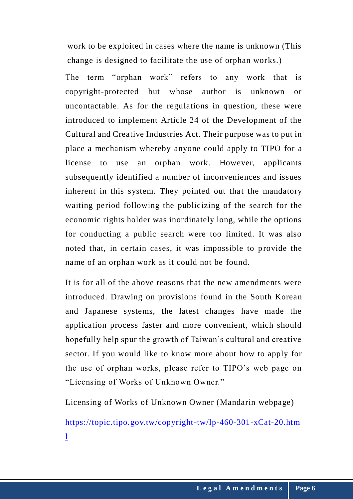work to be exploited in cases where the name is unknown (This change is designed to facilitate the use of orphan works.)

The term "orphan work" refers to any work that is copyright-protected but whose author is unknown or uncontactable. As for the regulations in question, these were introduced to implement Article 24 of the Development of the Cultural and Creative Industries Act. Their purpose was to put in place a mechanism whereby anyone could apply to TIPO for a license to use an orphan work. However, applicants subsequently identified a number of inconveniences and issues inherent in this system. They pointed out that the mandatory waiting period following the publicizing of the search for the economic rights holder was inordinately long, while the options for conducting a public search were too limited. It was also noted that, in certain cases, it was impossible to provide the name of an orphan work as it could not be found.

It is for all of the above reasons that the new amendments were introduced. Drawing on provisions found in the South Korean and Japanese systems, the latest changes have made the application process faster and more convenient, which should hopefully help spur the growth of Taiwan's cultural and creative sector. If you would like to know more about how to apply for the use of orphan works, please refer to TIPO's web page on "Licensing of Works of Unknown Owner."

Licensing of Works of Unknown Owner (Mandarin webpage)

[https://topic.tipo.gov.tw/copyright-tw/lp-460-301-xCat-20.htm](https://topic.tipo.gov.tw/copyright-tw/lp-460-301-xCat-20.html) [l](https://topic.tipo.gov.tw/copyright-tw/lp-460-301-xCat-20.html)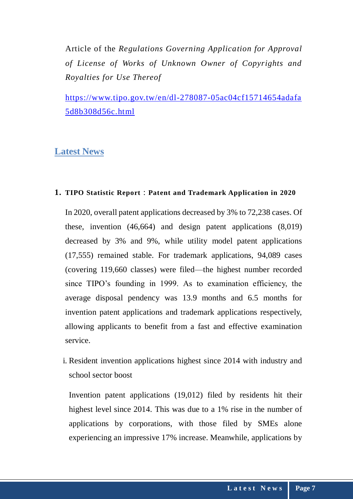Article of the *Regulations Governing Application for Approval of License of Works of Unknown Owner of Copyrights and Royalties for Use Thereof*

[https://www.tipo.gov.tw/en/dl-278087-05ac04cf15714654adafa](https://www.tipo.gov.tw/en/dl-278087-05ac04cf15714654adafa5d8b308d56c.html) [5d8b308d56c.html](https://www.tipo.gov.tw/en/dl-278087-05ac04cf15714654adafa5d8b308d56c.html)

## **Latest News**

#### **1. TIPO Statistic Report**:**Patent and Trademark Application in 2020**

In 2020, overall patent applications decreased by 3% to 72,238 cases. Of these, invention (46,664) and design patent applications (8,019) decreased by 3% and 9%, while utility model patent applications (17,555) remained stable. For trademark applications, 94,089 cases (covering 119,660 classes) were filed—the highest number recorded since TIPO's founding in 1999. As to examination efficiency, the average disposal pendency was 13.9 months and 6.5 months for invention patent applications and trademark applications respectively, allowing applicants to benefit from a fast and effective examination service.

i. Resident invention applications highest since 2014 with industry and school sector boost

Invention patent applications (19,012) filed by residents hit their highest level since 2014. This was due to a 1% rise in the number of applications by corporations, with those filed by SMEs alone experiencing an impressive 17% increase. Meanwhile, applications by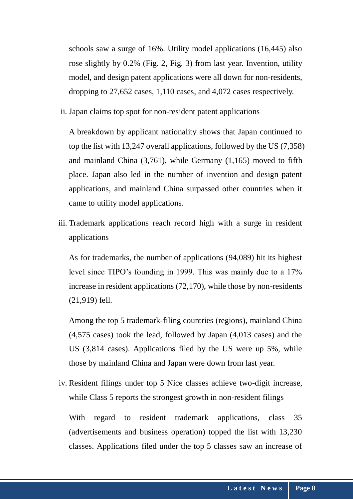schools saw a surge of 16%. Utility model applications (16,445) also rose slightly by 0.2% (Fig. 2, Fig. 3) from last year. Invention, utility model, and design patent applications were all down for non-residents, dropping to 27,652 cases, 1,110 cases, and 4,072 cases respectively.

ii. Japan claims top spot for non-resident patent applications

A breakdown by applicant nationality shows that Japan continued to top the list with 13,247 overall applications, followed by the US (7,358) and mainland China (3,761), while Germany (1,165) moved to fifth place. Japan also led in the number of invention and design patent applications, and mainland China surpassed other countries when it came to utility model applications.

iii. Trademark applications reach record high with a surge in resident applications

As for trademarks, the number of applications (94,089) hit its highest level since TIPO's founding in 1999. This was mainly due to a 17% increase in resident applications (72,170), while those by non-residents (21,919) fell.

Among the top 5 trademark-filing countries (regions), mainland China (4,575 cases) took the lead, followed by Japan (4,013 cases) and the US (3,814 cases). Applications filed by the US were up 5%, while those by mainland China and Japan were down from last year.

iv. Resident filings under top 5 Nice classes achieve two-digit increase, while Class 5 reports the strongest growth in non-resident filings

With regard to resident trademark applications, class 35 (advertisements and business operation) topped the list with 13,230 classes. Applications filed under the top 5 classes saw an increase of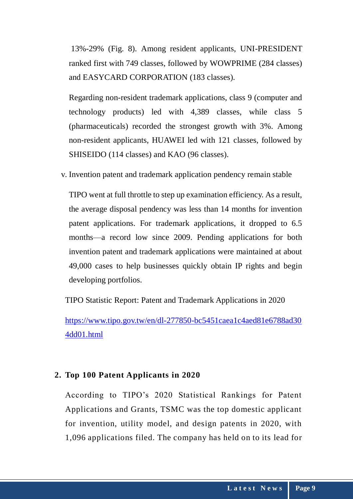13%-29% (Fig. 8). Among resident applicants, UNI-PRESIDENT ranked first with 749 classes, followed by WOWPRIME (284 classes) and EASYCARD CORPORATION (183 classes).

Regarding non-resident trademark applications, class 9 (computer and technology products) led with 4,389 classes, while class 5 (pharmaceuticals) recorded the strongest growth with 3%. Among non-resident applicants, HUAWEI led with 121 classes, followed by SHISEIDO (114 classes) and KAO (96 classes).

v. Invention patent and trademark application pendency remain stable

TIPO went at full throttle to step up examination efficiency. As a result, the average disposal pendency was less than 14 months for invention patent applications. For trademark applications, it dropped to 6.5 months—a record low since 2009. Pending applications for both invention patent and trademark applications were maintained at about 49,000 cases to help businesses quickly obtain IP rights and begin developing portfolios.

TIPO Statistic Report: Patent and Trademark Applications in 2020

[https://www.tipo.gov.tw/en/dl-277850-bc5451caea1c4aed81e6788ad30](https://www.tipo.gov.tw/en/dl-277850-bc5451caea1c4aed81e6788ad304dd01.html) [4dd01.html](https://www.tipo.gov.tw/en/dl-277850-bc5451caea1c4aed81e6788ad304dd01.html)

### **2. Top 100 Patent Applicants in 2020**

According to TIPO's 2020 Statistical Rankings for Patent Applications and Grants, TSMC was the top domestic applicant for invention, utility model, and design patents in 2020, with 1,096 applications filed. The company has held on to its lead for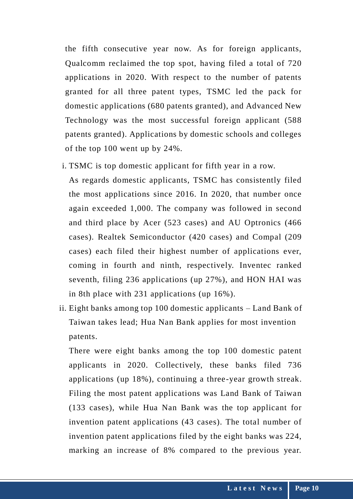the fifth consecutive year now. As for foreign applicants, Qualcomm reclaimed the top spot, having filed a total of 720 applications in 2020. With respect to the number of patents granted for all three patent types, TSMC led the pack for domestic applications (680 patents granted), and Advanced New Technology was the most successful foreign applicant (588 patents granted). Applications by domestic schools and colleges of the top 100 went up by 24%.

i. TSMC is top domestic applicant for fifth year in a row.

As regards domestic applicants, TSMC has consistently filed the most applications since 2016. In 2020, that number once again exceeded 1,000. The company was followed in second and third place by Acer (523 cases) and AU Optronics (466 cases). Realtek Semiconductor (420 cases) and Compal (209 cases) each filed their highest number of applications ever, coming in fourth and ninth, respectively. Inventec ranked seventh, filing 236 applications (up 27%), and HON HAI was in 8th place with 231 applications (up 16%).

ii. Eight banks among top 100 domestic applicants – Land Bank of Taiwan takes lead; Hua Nan Bank applies for most invention patents.

There were eight banks among the top 100 domestic patent applicants in 2020. Collectively, these banks filed 736 applications (up 18%), continuing a three-year growth streak. Filing the most patent applications was Land Bank of Taiwan (133 cases), while Hua Nan Bank was the top applicant for invention patent applications (43 cases). The total number of invention patent applications filed by the eight banks was 224, marking an increase of 8% compared to the previous year.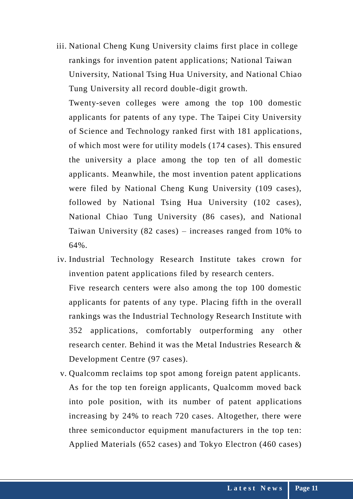iii. National Cheng Kung University claims first place in college rankings for invention patent applications; National Taiwan University, National Tsing Hua University, and National Chiao Tung University all record double-digit growth.

Twenty-seven colleges were among the top 100 domestic applicants for patents of any type. The Taipei City University of Science and Technology ranked first with 181 applications, of which most were for utility models (174 cases). This ensured the university a place among the top ten of all domestic applicants. Meanwhile, the most invention patent applications were filed by National Cheng Kung University (109 cases), followed by National Tsing Hua University (102 cases), National Chiao Tung University (86 cases), and National Taiwan University (82 cases) – increases ranged from 10% to 64%.

- iv. Industrial Technology Research Institute takes crown for invention patent applications filed by research centers. Five research centers were also among the top 100 domestic applicants for patents of any type. Placing fifth in the overall rankings was the Industrial Technology Research Institute with 352 applications, comfortably outperforming any other research center. Behind it was the Metal Industries Research & Development Centre (97 cases).
- v. Qualcomm reclaims top spot among foreign patent applicants. As for the top ten foreign applicants, Qualcomm moved back into pole position, with its number of patent applications increasing by 24% to reach 720 cases. Altogether, there were three semiconductor equipment manufacturers in the top ten: Applied Materials (652 cases) and Tokyo Electron (460 cases)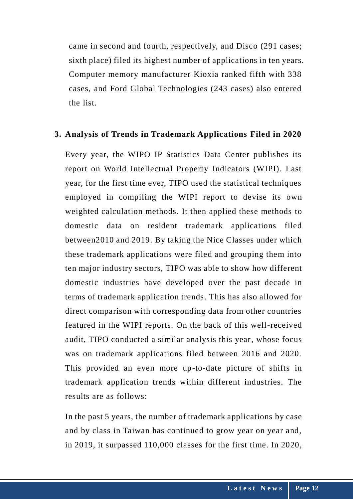came in second and fourth, respectively, and Disco (291 cases; sixth place) filed its highest number of applications in ten years. Computer memory manufacturer Kioxia ranked fifth with 338 cases, and Ford Global Technologies (243 cases) also entered the list.

#### **3. Analysis of Trends in Trademark Applications Filed in 2020**

Every year, the WIPO IP Statistics Data Center publishes its report on World Intellectual Property Indicators (WIPI). Last year, for the first time ever, TIPO used the statistical techniques employed in compiling the WIPI report to devise its own weighted calculation methods. It then applied these methods to domestic data on resident trademark applications filed between2010 and 2019. By taking the Nice Classes under which these trademark applications were filed and grouping them into ten major industry sectors, TIPO was able to show how different domestic industries have developed over the past decade in terms of trademark application trends. This has also allowed for direct comparison with corresponding data from other countries featured in the WIPI reports. On the back of this well-received audit, TIPO conducted a similar analysis this year, whose focus was on trademark applications filed between 2016 and 2020. This provided an even more up-to-date picture of shifts in trademark application trends within different industries. The results are as follows:

In the past 5 years, the number of trademark applications by case and by class in Taiwan has continued to grow year on year and, in 2019, it surpassed 110,000 classes for the first time. In 2020,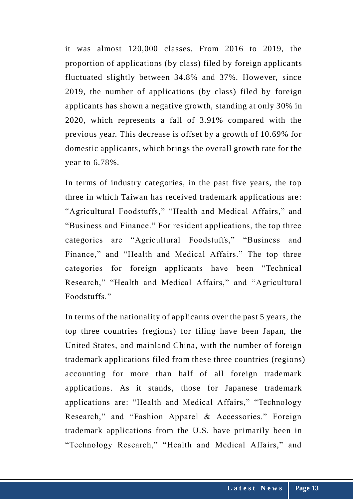it was almost 120,000 classes. From 2016 to 2019, the proportion of applications (by class) filed by foreign applicants fluctuated slightly between 34.8% and 37%. However, since 2019, the number of applications (by class) filed by foreign applicants has shown a negative growth, standing at only 30% in 2020, which represents a fall of 3.91% compared with the previous year. This decrease is offset by a growth of 10.69% for domestic applicants, which brings the overall growth rate for the year to 6.78%.

In terms of industry categories, in the past five years, the top three in which Taiwan has received trademark applications are: "Agricultural Foodstuffs," "Health and Medical Affairs," and "Business and Finance." For resident applications, the top three categories are "Agricultural Foodstuffs," "Business and Finance," and "Health and Medical Affairs." The top three categories for foreign applicants have been "Technical Research," "Health and Medical Affairs," and "Agricultural Foodstuffs."

In terms of the nationality of applicants over the past 5 years, the top three countries (regions) for filing have been Japan, the United States, and mainland China, with the number of foreign trademark applications filed from these three countries (regions) accounting for more than half of all foreign trademark applications. As it stands, those for Japanese trademark applications are: "Health and Medical Affairs," "Technology Research," and "Fashion Apparel & Accessories." Foreign trademark applications from the U.S. have primarily been in "Technology Research," "Health and Medical Affairs," and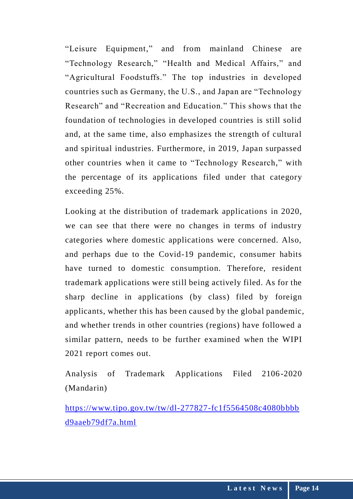"Leisure Equipment," and from mainland Chinese are "Technology Research," "Health and Medical Affairs," and "Agricultural Foodstuffs." The top industries in developed countries such as Germany, the U.S., and Japan are "Technology Research" and "Recreation and Education." This shows that the foundation of technologies in developed countries is still solid and, at the same time, also emphasizes the strength of cultural and spiritual industries. Furthermore, in 2019, Japan surpassed other countries when it came to "Technology Research," with the percentage of its applications filed under that category exceeding 25%.

Looking at the distribution of trademark applications in 2020, we can see that there were no changes in terms of industry categories where domestic applications were concerned. Also, and perhaps due to the Covid-19 pandemic, consumer habits have turned to domestic consumption. Therefore, resident trademark applications were still being actively filed. As for the sharp decline in applications (by class) filed by foreign applicants, whether this has been caused by the global pandemic, and whether trends in other countries (regions) have followed a similar pattern, needs to be further examined when the WIPI 2021 report comes out.

Analysis of Trademark Applications Filed 2106-2020 (Mandarin)

[https://www.tipo.gov.tw/tw/dl-277827-fc1f5564508c4080bbbb](https://www.tipo.gov.tw/tw/dl-277827-fc1f5564508c4080bbbbd9aaeb79df7a.html) [d9aaeb79df7a.html](https://www.tipo.gov.tw/tw/dl-277827-fc1f5564508c4080bbbbd9aaeb79df7a.html)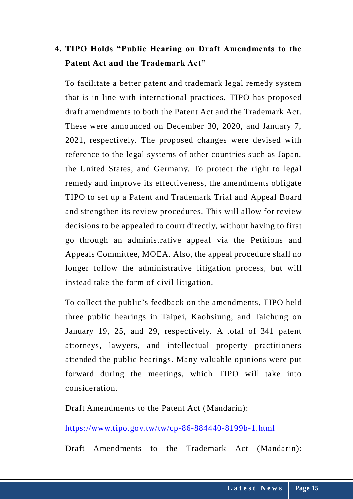## **4. TIPO Holds "Public Hearing on Draft Amendments to the Patent Act and the Trademark Act"**

To facilitate a better patent and trademark legal remedy system that is in line with international practices, TIPO has proposed draft amendments to both the Patent Act and the Trademark Act. These were announced on December 30, 2020, and January 7, 2021, respectively. The proposed changes were devised with reference to the legal systems of other countries such as Japan, the United States, and Germany. To protect the right to legal remedy and improve its effectiveness, the amendments obligate TIPO to set up a Patent and Trademark Trial and Appeal Board and strengthen its review procedures. This will allow for review decisions to be appealed to court directly, without having to first go through an administrative appeal via the Petitions and Appeals Committee, MOEA. Also, the appeal procedure shall no longer follow the administrative litigation process, but will instead take the form of civil litigation.

To collect the public's feedback on the amendments, TIPO held three public hearings in Taipei, Kaohsiung, and Taichung on January 19, 25, and 29, respectively. A total of 341 patent attorneys, lawyers, and intellectual property practitioners attended the public hearings. Many valuable opinions were put forward during the meetings, which TIPO will take into consideration.

Draft Amendments to the Patent Act (Mandarin):

<https://www.tipo.gov.tw/tw/cp-86-884440-8199b-1.html>

Draft Amendments to the Trademark Act (Mandarin):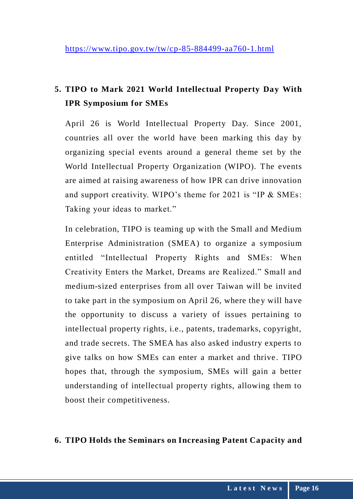## **5. TIPO to Mark 2021 World Intellectual Property Day With IPR Symposium for SMEs**

April 26 is World Intellectual Property Day. Since 2001, countries all over the world have been marking this day by organizing special events around a general theme set by the World Intellectual Property Organization (WIPO). The events are aimed at raising awareness of how IPR can drive innovation and support creativity. WIPO's theme for 2021 is "IP & SMEs: Taking your ideas to market."

In celebration, TIPO is teaming up with the Small and Medium Enterprise Administration (SMEA) to organize a symposium entitled "Intellectual Property Rights and SMEs: When Creativity Enters the Market, Dreams are Realized." Small and medium-sized enterprises from all over Taiwan will be invited to take part in the symposium on April 26, where the y will have the opportunity to discuss a variety of issues pertaining to intellectual property rights, i.e., patents, trademarks, copyright, and trade secrets. The SMEA has also asked industry experts to give talks on how SMEs can enter a market and thrive . TIPO hopes that, through the symposium, SMEs will gain a better understanding of intellectual property rights, allowing them to boost their competitiveness.

### **6. TIPO Holds the Seminars on Increasing Patent Capacity and**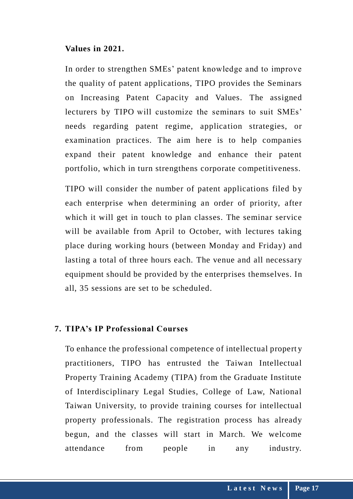#### **Values in 2021.**

In order to strengthen SMEs' patent knowledge and to improve the quality of patent applications, TIPO provides the Seminars on Increasing Patent Capacity and Values. The assigned lecturers by TIPO will customize the seminars to suit SMEs' needs regarding patent regime, application strategies, or examination practices. The aim here is to help companies expand their patent knowledge and enhance their patent portfolio, which in turn strengthens corporate competitiveness.

TIPO will consider the number of patent applications filed by each enterprise when determining an order of priority, after which it will get in touch to plan classes. The seminar service will be available from April to October, with lectures taking place during working hours (between Monday and Friday) and lasting a total of three hours each. The venue and all necessary equipment should be provided by the enterprises themselves. In all, 35 sessions are set to be scheduled.

#### **7. TIPA's IP Professional Courses**

To enhance the professional competence of intellectual propert y practitioners, TIPO has entrusted the Taiwan Intellectual Property Training Academy (TIPA) from the Graduate Institute of Interdisciplinary Legal Studies, College of Law, National Taiwan University, to provide training courses for intellectual property professionals. The registration process has already begun, and the classes will start in March. We welcome attendance from people in any industry.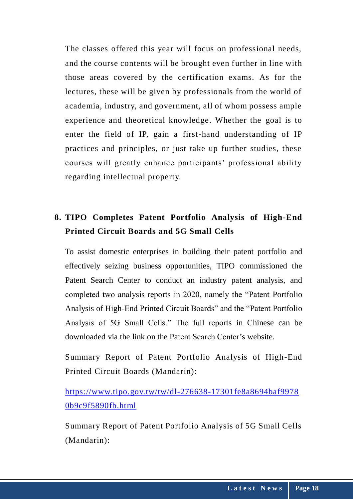The classes offered this year will focus on professional needs, and the course contents will be brought even further in line with those areas covered by the certification exams. As for the lectures, these will be given by professionals from the world of academia, industry, and government, all of whom possess ample experience and theoretical knowledge. Whether the goal is to enter the field of IP, gain a first-hand understanding of IP practices and principles, or just take up further studies, these courses will greatly enhance participants' professional ability regarding intellectual property.

# **8. TIPO Completes Patent Portfolio Analysis of High-End Printed Circuit Boards and 5G Small Cells**

To assist domestic enterprises in building their patent portfolio and effectively seizing business opportunities, TIPO commissioned the Patent Search Center to conduct an industry patent analysis, and completed two analysis reports in 2020, namely the "Patent Portfolio Analysis of High-End Printed Circuit Boards" and the "Patent Portfolio Analysis of 5G Small Cells." The full reports in Chinese can be downloaded via the link on the Patent Search Center's website.

Summary Report of Patent Portfolio Analysis of High-End Printed Circuit Boards (Mandarin):

## [https://www.tipo.gov.tw/tw/dl-276638-17301fe8a8694baf9978](https://www.tipo.gov.tw/tw/dl-276638-17301fe8a8694baf99780b9c9f5890fb.html) [0b9c9f5890fb.html](https://www.tipo.gov.tw/tw/dl-276638-17301fe8a8694baf99780b9c9f5890fb.html)

Summary Report of Patent Portfolio Analysis of 5G Small Cells (Mandarin):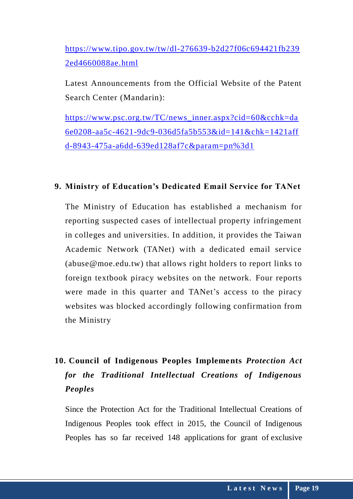[https://www.tipo.gov.tw/tw/dl-276639-b2d27f06c694421fb239](https://www.tipo.gov.tw/tw/dl-276639-b2d27f06c694421fb2392ed4660088ae.html) [2ed4660088ae.html](https://www.tipo.gov.tw/tw/dl-276639-b2d27f06c694421fb2392ed4660088ae.html)

Latest Announcements from the Official Website of the Patent Search Center (Mandarin):

[https://www.psc.org.tw/TC/news\\_inner.aspx?cid=60&cchk=da](https://www.psc.org.tw/TC/news_inner.aspx?cid=60&cchk=da6e0208-aa5c-4621-9dc9-036d5fa5b553&id=141&chk=1421affd-8943-475a-a6dd-639ed128af7c¶m=pn%3d1) [6e0208-aa5c-4621-9dc9-036d5fa5b553&id=141&chk=1421aff](https://www.psc.org.tw/TC/news_inner.aspx?cid=60&cchk=da6e0208-aa5c-4621-9dc9-036d5fa5b553&id=141&chk=1421affd-8943-475a-a6dd-639ed128af7c¶m=pn%3d1) [d-8943-475a-a6dd-639ed128af7c&param=pn%3d1](https://www.psc.org.tw/TC/news_inner.aspx?cid=60&cchk=da6e0208-aa5c-4621-9dc9-036d5fa5b553&id=141&chk=1421affd-8943-475a-a6dd-639ed128af7c¶m=pn%3d1)

### **9. Ministry of Education's Dedicated Email Service for TANet**

The Ministry of Education has established a mechanism for reporting suspected cases of intellectual property infringement in colleges and universities. In addition, it provides the Taiwan Academic Network (TANet) with a dedicated email service (abuse@moe.edu.tw) that allows right holders to report links to foreign textbook piracy websites on the network. Four reports were made in this quarter and TANet's access to the piracy websites was blocked accordingly following confirmation from the Ministry

# **10. Council of Indigenous Peoples Implements** *Protection Act for the Traditional Intellectual Creations of Indigenous Peoples*

Since the Protection Act for the Traditional Intellectual Creations of Indigenous Peoples took effect in 2015, the Council of Indigenous Peoples has so far received 148 applications for grant of exclusive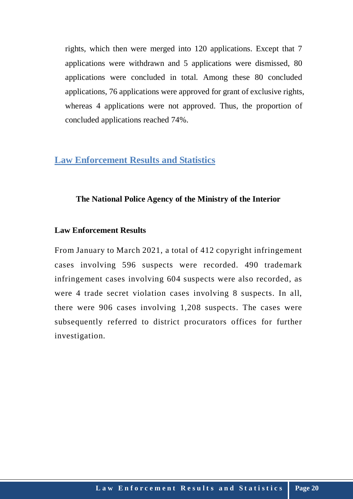rights, which then were merged into 120 applications. Except that 7 applications were withdrawn and 5 applications were dismissed, 80 applications were concluded in total. Among these 80 concluded applications, 76 applications were approved for grant of exclusive rights, whereas 4 applications were not approved. Thus, the proportion of concluded applications reached 74%.

### **Law Enforcement Results and Statistics**

### **The National Police Agency of the Ministry of the Interior**

### **Law Enforcement Results**

From January to March 2021, a total of 412 copyright infringement cases involving 596 suspects were recorded. 490 trademark infringement cases involving 604 suspects were also recorded, as were 4 trade secret violation cases involving 8 suspects. In all, there were 906 cases involving 1,208 suspects. The cases were subsequently referred to district procurators offices for further investigation.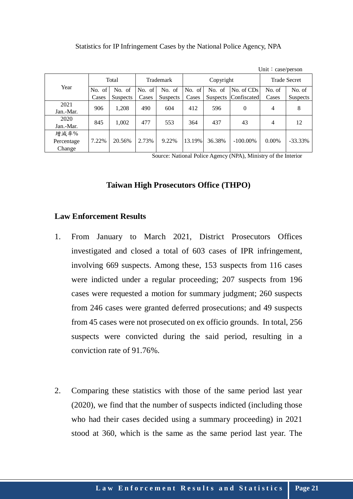| Statistics for IP Infringement Cases by the National Police Agency, NPA |  |  |  |
|-------------------------------------------------------------------------|--|--|--|
|                                                                         |  |  |  |

|                              |        |                 |           |                 |           |                 |             | Unit: $case/person$ |                 |  |
|------------------------------|--------|-----------------|-----------|-----------------|-----------|-----------------|-------------|---------------------|-----------------|--|
| Year                         | Total  |                 | Trademark |                 | Copyright |                 |             | <b>Trade Secret</b> |                 |  |
|                              | No. of | No. of          | No. of    | No. of          | No. of    | No. of          | No. of CDs  | No. of              | No. of          |  |
|                              | Cases  | <b>Suspects</b> | Cases     | <b>Suspects</b> | Cases     | <b>Suspects</b> | Confiscated | Cases               | <b>Suspects</b> |  |
| 2021<br>Jan.-Mar.            | 906    | 1,208           | 490       | 604             | 412       | 596             | $\Omega$    | 4                   | 8               |  |
| 2020<br>Jan.-Mar.            | 845    | 1,002           | 477       | 553             | 364       | 437             | 43          | 4                   | 12              |  |
| 增減率%<br>Percentage<br>Change | 7.22%  | 20.56%          | 2.73%     | 9.22%           | 13.19%    | 36.38%          | $-100.00\%$ | $0.00\%$            | $-33.33\%$      |  |

Source: National Police Agency (NPA), Ministry of the Interior

#### **Taiwan High Prosecutors Office (THPO)**

#### **Law Enforcement Results**

- 1. From January to March 2021, District Prosecutors Offices investigated and closed a total of 603 cases of IPR infringement, involving 669 suspects. Among these, 153 suspects from 116 cases were indicted under a regular proceeding; 207 suspects from 196 cases were requested a motion for summary judgment; 260 suspects from 246 cases were granted deferred prosecutions; and 49 suspects from 45 cases were not prosecuted on ex officio grounds. In total, 256 suspects were convicted during the said period, resulting in a conviction rate of 91.76%.
- 2. Comparing these statistics with those of the same period last year (2020), we find that the number of suspects indicted (including those who had their cases decided using a summary proceeding) in 2021 stood at 360, which is the same as the same period last year. The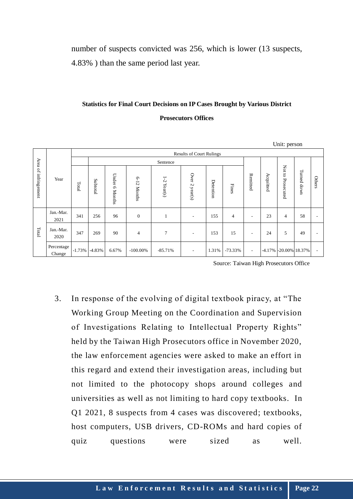number of suspects convicted was 256, which is lower (13 suspects, 4.83% ) than the same period last year.

#### **Statistics for Final Court Decisions on IP Cases Brought by Various District**

#### **Prosecutors Offices**

|                      |                      |          |                                 |                             |                           |                  |                          |           |                |                          | Unit: person |                       |             |                |  |
|----------------------|----------------------|----------|---------------------------------|-----------------------------|---------------------------|------------------|--------------------------|-----------|----------------|--------------------------|--------------|-----------------------|-------------|----------------|--|
|                      | Year                 |          | <b>Results of Court Rulings</b> |                             |                           |                  |                          |           |                |                          |              |                       |             |                |  |
| Area of infringement |                      |          |                                 |                             |                           |                  |                          |           |                |                          |              |                       |             |                |  |
|                      |                      | Total    | Subtotal                        | Under<br>G<br><b>Months</b> | $6 - 12$<br><b>Months</b> | $1-2$<br>Tear(s) | Over 2 year(s)           | Detention | Fines          | Remitted                 | Acquitted    | Not to<br>Prosecuted  | Turned down | Others         |  |
|                      | Jan.-Mar.<br>2021    | 341      | 256                             | 96                          | $\boldsymbol{0}$          |                  | $\overline{\phantom{a}}$ | 155       | $\overline{4}$ | $\overline{\phantom{a}}$ | 23           | $\overline{4}$        | 58          |                |  |
| Total                | Jan.-Mar.<br>2020    | 347      | 269                             | 90                          | $\overline{4}$            | 7                | $\overline{\phantom{a}}$ | 153       | 15             | $\blacksquare$           | 24           | 5                     | 49          |                |  |
|                      | Percentage<br>Change | $-1.73%$ | $-4.83%$                        | 6.67%                       | $-100.00\%$               | $-85.71%$        | ٠                        | 1.31%     | $-73.33%$      | $\overline{\phantom{a}}$ |              | -4.17% -20.00% 18.37% |             | $\blacksquare$ |  |

Source: Taiwan High Prosecutors Office

3. In response of the evolving of digital textbook piracy, at "The Working Group Meeting on the Coordination and Supervision of Investigations Relating to Intellectual Property Rights" held by the Taiwan High Prosecutors office in November 2020, the law enforcement agencies were asked to make an effort in this regard and extend their investigation areas, including but not limited to the photocopy shops around colleges and universities as well as not limiting to hard copy textbooks. In Q1 2021, 8 suspects from 4 cases was discovered; textbooks, host computers, USB drivers, CD-ROMs and hard copies of quiz questions were sized as well.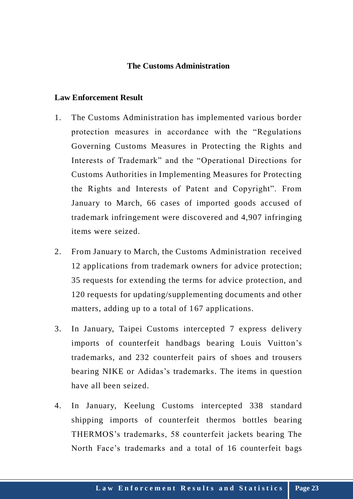### **The Customs Administration**

#### **Law Enforcement Result**

- 1. The Customs Administration has implemented various border protection measures in accordance with the "Regulations Governing Customs Measures in Protecting the Rights and Interests of Trademark" and the "Operational Directions for Customs Authorities in Implementing Measures for Protecting the Rights and Interests of Patent and Copyright". From January to March, 66 cases of imported goods accused of trademark infringement were discovered and 4,907 infringing items were seized.
- 2. From January to March, the Customs Administration received 12 applications from trademark owners for advice protection; 35 requests for extending the terms for advice protection, and 120 requests for updating/supplementing documents and other matters, adding up to a total of 167 applications.
- 3. In January, Taipei Customs intercepted 7 express delivery imports of counterfeit handbags bearing Louis Vuitton's trademarks, and 232 counterfeit pairs of shoes and trousers bearing NIKE or Adidas's trademarks. The items in question have all been seized.
- 4. In January, Keelung Customs intercepted 338 standard shipping imports of counterfeit thermos bottles bearing THERMOS's trademarks, 58 counterfeit jackets bearing The North Face's trademarks and a total of 16 counterfeit bags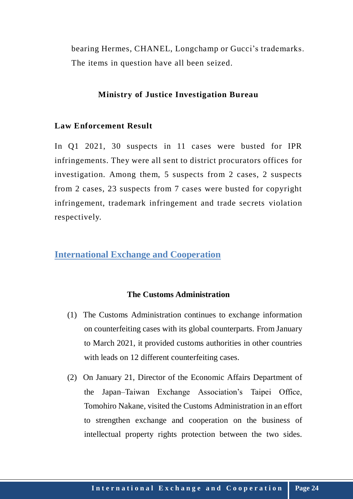bearing Hermes, CHANEL, Longchamp or Gucci's trademarks. The items in question have all been seized.

### **Ministry of Justice Investigation Bureau**

### **Law Enforcement Result**

In Q1 2021, 30 suspects in 11 cases were busted for IPR infringements. They were all sent to district procurators offices for investigation. Among them, 5 suspects from 2 cases, 2 suspects from 2 cases, 23 suspects from 7 cases were busted for copyright infringement, trademark infringement and trade secrets violation respectively.

## **International Exchange and Cooperation**

### **The Customs Administration**

- (1) The Customs Administration continues to exchange information on counterfeiting cases with its global counterparts. From January to March 2021, it provided customs authorities in other countries with leads on 12 different counterfeiting cases.
- (2) On January 21, Director of the Economic Affairs Department of the Japan–Taiwan Exchange Association's Taipei Office, Tomohiro Nakane, visited the Customs Administration in an effort to strengthen exchange and cooperation on the business of intellectual property rights protection between the two sides.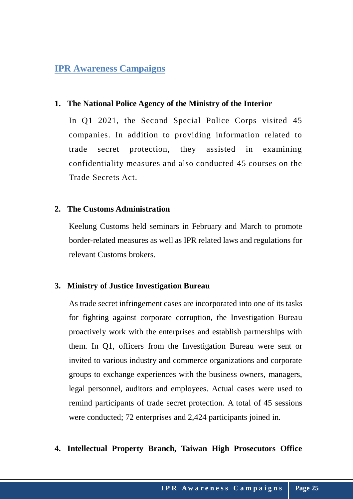## **IPR Awareness Campaigns**

### **1. The National Police Agency of the Ministry of the Interior**

In Q1 2021, the Second Special Police Corps visited 45 companies. In addition to providing information related to trade secret protection, they assisted in examining confidentiality measures and also conducted 45 courses on the Trade Secrets Act.

#### **2. The Customs Administration**

Keelung Customs held seminars in February and March to promote border-related measures as well as IPR related laws and regulations for relevant Customs brokers.

### **3. Ministry of Justice Investigation Bureau**

As trade secret infringement cases are incorporated into one of its tasks for fighting against corporate corruption, the Investigation Bureau proactively work with the enterprises and establish partnerships with them. In Q1, officers from the Investigation Bureau were sent or invited to various industry and commerce organizations and corporate groups to exchange experiences with the business owners, managers, legal personnel, auditors and employees. Actual cases were used to remind participants of trade secret protection. A total of 45 sessions were conducted; 72 enterprises and 2,424 participants joined in.

### **4. Intellectual Property Branch, Taiwan High Prosecutors Office**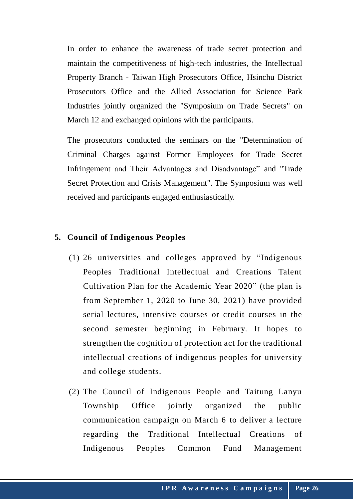In order to enhance the awareness of trade secret protection and maintain the competitiveness of high-tech industries, the Intellectual Property Branch - Taiwan High Prosecutors Office, Hsinchu District Prosecutors Office and the Allied Association for Science Park Industries jointly organized the "Symposium on Trade Secrets" on March 12 and exchanged opinions with the participants.

The prosecutors conducted the seminars on the "Determination of Criminal Charges against Former Employees for Trade Secret Infringement and Their Advantages and Disadvantage" and "Trade Secret Protection and Crisis Management". The Symposium was well received and participants engaged enthusiastically.

### **5. Council of Indigenous Peoples**

- (1) 26 universities and colleges approved by "Indigenous Peoples Traditional Intellectual and Creations Talent Cultivation Plan for the Academic Year 2020" (the plan is from September 1, 2020 to June 30, 2021) have provided serial lectures, intensive courses or credit courses in the second semester beginning in February. It hopes to strengthen the cognition of protection act for the traditional intellectual creations of indigenous peoples for university and college students.
- (2) The Council of Indigenous People and Taitung Lanyu Township Office jointly organized the public communication campaign on March 6 to deliver a lecture regarding the Traditional Intellectual Creations of Indigenous Peoples Common Fund Management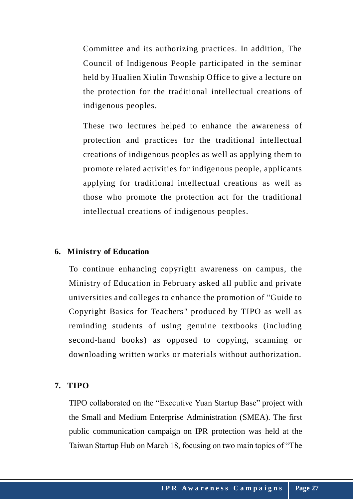Committee and its authorizing practices. In addition, The Council of Indigenous People participated in the seminar held by Hualien Xiulin Township Office to give a lecture on the protection for the traditional intellectual creations of indigenous peoples.

These two lectures helped to enhance the awareness of protection and practices for the traditional intellectual creations of indigenous peoples as well as applying them to promote related activities for indigenous people, applicants applying for traditional intellectual creations as well as those who promote the protection act for the traditional intellectual creations of indigenous peoples.

### **6. Ministry of Education**

To continue enhancing copyright awareness on campus, the Ministry of Education in February asked all public and private universities and colleges to enhance the promotion of "Guide to Copyright Basics for Teachers " produced by TIPO as well as reminding students of using genuine textbooks (including second-hand books) as opposed to copying, scanning or downloading written works or materials without authorization.

### **7. TIPO**

TIPO collaborated on the "Executive Yuan Startup Base" project with the Small and Medium Enterprise Administration (SMEA). The first public communication campaign on IPR protection was held at the Taiwan Startup Hub on March 18, focusing on two main topics of "The